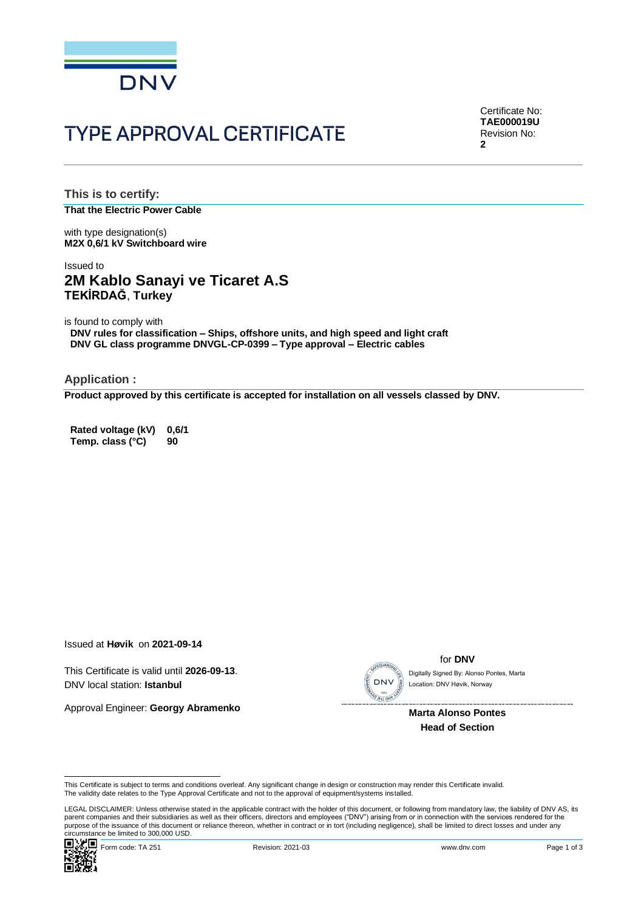

# **TYPE APPROVAL CERTIFICATE**

Certificate No: **TAE000019U** Revision No: **2**

**This is to certify: That the Electric Power Cable**

with type designation(s) **M2X 0,6/1 kV Switchboard wire**

### Issued to **2M Kablo Sanayi ve Ticaret A.S TEKİRDAĞ**, **Turkey**

is found to comply with **DNV rules for classification – Ships, offshore units, and high speed and light craft DNV GL class programme DNVGL-CP-0399 – Type approval – Electric cables**

**Application :**

**Product approved by this certificate is accepted for installation on all vessels classed by DNV.**

**Rated voltage (kV) 0,6/1 Temp. class (°C) 90**

Issued at **Høvik** on **2021-09-14**

This Certificate is valid until **2026-09-13**. DNV local station: **Istanbul**

Approval Engineer: **Georgy Abramenko**



for **DNV**

Location: DNV Høvik, Norway

 **Marta Alonso Pontes Head of Section**

This Certificate is subject to terms and conditions overleaf. Any significant change in design or construction may render this Certificate invalid.<br>The validity date relates to the Type Approval Certificate and not to the

Circumstance be immediate because of the control of the control of the control of the control of the Page 1 of 3<br>
■ <br>
Porm code: TA 251 Revision: 2021-03 www.dnv.com Page 1 of 3 LEGAL DISCLAIMER: Unless otherwise stated in the applicable contract with the holder of this document, or following from mandatory law, the liability of DNV AS, its parent companies and their subsidiaries as well as their officers, directors and employees ("DNV") arising from or in connection with the services rendered for the This Certificate is valid United Vietnamento (DNV I coalism: DNV I coalism: DNV I coalism: DNV I coalism: DNV I coalism: DNV I coalism: DNV I coalism: DNV I coalism: DNV I coalism: DNV I coalism: DNV I coalism: DNV I coali

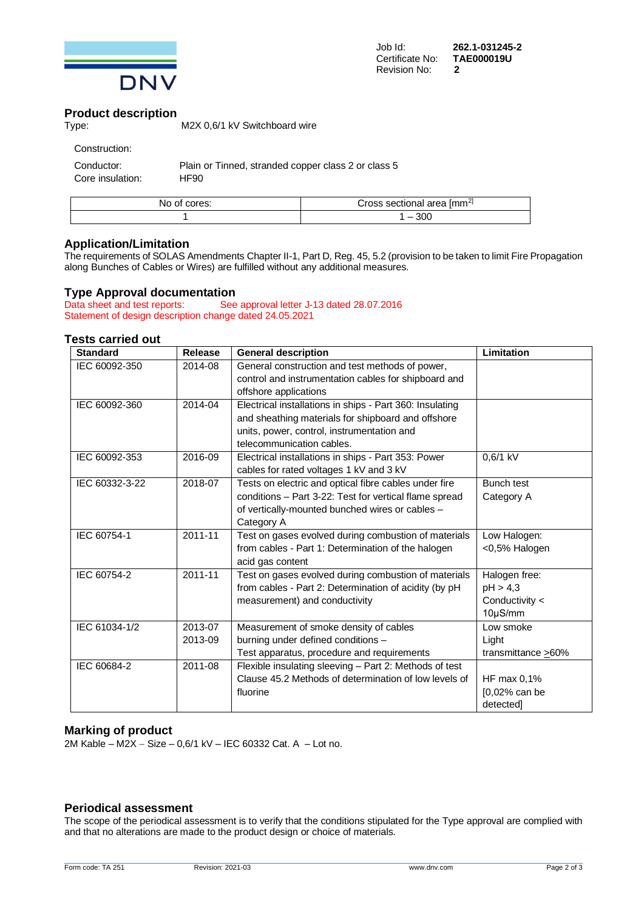

### **Product description**

| Type: | M2X 0.6/1 kV Switchboard wire |
|-------|-------------------------------|
|-------|-------------------------------|

| Construction:    |                                                     |
|------------------|-----------------------------------------------------|
| Conductor:       | Plain or Tinned, stranded copper class 2 or class 5 |
| Core insulation: | HF90                                                |

| cores: | area Imm <sup>21</sup>   |
|--------|--------------------------|
| O1     | toss.                    |
| NO.    | . sectional <sup>.</sup> |
|        | 300<br>__                |

### **Application/Limitation**

The requirements of SOLAS Amendments Chapter II-1, Part D, Reg. 45, 5.2 (provision to be taken to limit Fire Propagation along Bunches of Cables or Wires) are fulfilled without any additional measures.

## **Type Approval documentation**<br> **Data sheet and test reports:** See

See approval letter J-13 dated 28.07.2016 Statement of design description change dated 24.05.2021

### **Tests carried out**

| <b>Standard</b> | <b>Release</b> | <b>General description</b>                               | Limitation                |
|-----------------|----------------|----------------------------------------------------------|---------------------------|
| IEC 60092-350   | 2014-08        | General construction and test methods of power,          |                           |
|                 |                | control and instrumentation cables for shipboard and     |                           |
|                 |                | offshore applications                                    |                           |
| IEC 60092-360   | 2014-04        | Electrical installations in ships - Part 360: Insulating |                           |
|                 |                | and sheathing materials for shipboard and offshore       |                           |
|                 |                | units, power, control, instrumentation and               |                           |
|                 |                | telecommunication cables.                                |                           |
| IEC 60092-353   | 2016-09        | Electrical installations in ships - Part 353: Power      | 0,6/1 kV                  |
|                 |                | cables for rated voltages 1 kV and 3 kV                  |                           |
| IEC 60332-3-22  | 2018-07        | Tests on electric and optical fibre cables under fire    | <b>Bunch test</b>         |
|                 |                | conditions - Part 3-22: Test for vertical flame spread   | Category A                |
|                 |                | of vertically-mounted bunched wires or cables -          |                           |
|                 |                | Category A                                               |                           |
| IEC 60754-1     | 2011-11        | Test on gases evolved during combustion of materials     | Low Halogen:              |
|                 |                | from cables - Part 1: Determination of the halogen       | <0,5% Halogen             |
|                 |                | acid gas content                                         |                           |
| IEC 60754-2     | 2011-11        | Test on gases evolved during combustion of materials     | Halogen free:             |
|                 |                | from cables - Part 2: Determination of acidity (by pH    | pH > 4,3                  |
|                 |                | measurement) and conductivity                            | Conductivity <            |
|                 |                |                                                          | 10µS/mm                   |
| IEC 61034-1/2   | 2013-07        | Measurement of smoke density of cables                   | Low smoke                 |
|                 | 2013-09        | burning under defined conditions -                       | Light                     |
|                 |                | Test apparatus, procedure and requirements               | transmittance $\geq 60\%$ |
| IEC 60684-2     | 2011-08        | Flexible insulating sleeving - Part 2: Methods of test   |                           |
|                 |                | Clause 45.2 Methods of determination of low levels of    | HF max 0,1%               |
|                 |                | fluorine                                                 | [0,02% can be             |
|                 |                |                                                          | detected]                 |

#### **Marking of product**

2M Kable – M2X − Size – 0,6/1 kV – IEC 60332 Cat. A – Lot no.

### **Periodical assessment**

The scope of the periodical assessment is to verify that the conditions stipulated for the Type approval are complied with and that no alterations are made to the product design or choice of materials.